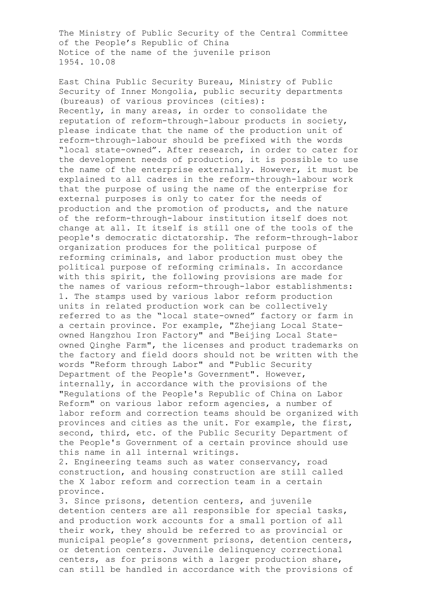The Ministry of Public Security of the Central Committee of the People's Republic of China Notice of the name of the juvenile prison 1954. 10.08

East China Public Security Bureau, Ministry of Public Security of Inner Mongolia, public security departments (bureaus) of various provinces (cities): Recently, in many areas, in order to consolidate the reputation of reform-through-labour products in society, please indicate that the name of the production unit of reform-through-labour should be prefixed with the words "local state-owned". After research, in order to cater for the development needs of production, it is possible to use the name of the enterprise externally. However, it must be explained to all cadres in the reform-through-labour work that the purpose of using the name of the enterprise for external purposes is only to cater for the needs of production and the promotion of products, and the nature of the reform-through-labour institution itself does not change at all. It itself is still one of the tools of the people's democratic dictatorship. The reform-through-labor organization produces for the political purpose of reforming criminals, and labor production must obey the political purpose of reforming criminals. In accordance with this spirit, the following provisions are made for the names of various reform-through-labor establishments: 1. The stamps used by various labor reform production units in related production work can be collectively referred to as the "local state-owned" factory or farm in a certain province. For example, "Zhejiang Local Stateowned Hangzhou Iron Factory" and "Beijing Local Stateowned Qinghe Farm", the licenses and product trademarks on the factory and field doors should not be written with the words "Reform through Labor" and "Public Security Department of the People's Government". However, internally, in accordance with the provisions of the "Regulations of the People's Republic of China on Labor Reform" on various labor reform agencies, a number of labor reform and correction teams should be organized with provinces and cities as the unit. For example, the first, second, third, etc. of the Public Security Department of the People's Government of a certain province should use this name in all internal writings.

2. Engineering teams such as water conservancy, road construction, and housing construction are still called the X labor reform and correction team in a certain province.

3. Since prisons, detention centers, and juvenile detention centers are all responsible for special tasks, and production work accounts for a small portion of all their work, they should be referred to as provincial or municipal people's government prisons, detention centers, or detention centers. Juvenile delinquency correctional centers, as for prisons with a larger production share, can still be handled in accordance with the provisions of